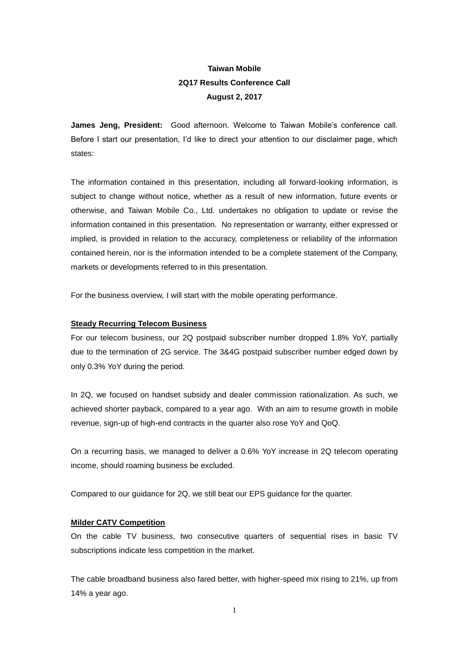# **Taiwan Mobile 2Q17 Results Conference Call August 2, 2017**

**James Jeng, President:** Good afternoon. Welcome to Taiwan Mobile's conference call. Before I start our presentation, I'd like to direct your attention to our disclaimer page, which states:

The information contained in this presentation, including all forward-looking information, is subject to change without notice, whether as a result of new information, future events or otherwise, and Taiwan Mobile Co., Ltd. undertakes no obligation to update or revise the information contained in this presentation. No representation or warranty, either expressed or implied, is provided in relation to the accuracy, completeness or reliability of the information contained herein, nor is the information intended to be a complete statement of the Company, markets or developments referred to in this presentation.

For the business overview, I will start with the mobile operating performance.

# **Steady Recurring Telecom Business**

For our telecom business, our 2Q postpaid subscriber number dropped 1.8% YoY, partially due to the termination of 2G service. The 3&4G postpaid subscriber number edged down by only 0.3% YoY during the period.

In 2Q, we focused on handset subsidy and dealer commission rationalization. As such, we achieved shorter payback, compared to a year ago. With an aim to resume growth in mobile revenue, sign-up of high-end contracts in the quarter also rose YoY and QoQ.

On a recurring basis, we managed to deliver a 0.6% YoY increase in 2Q telecom operating income, should roaming business be excluded.

Compared to our guidance for 2Q, we still beat our EPS guidance for the quarter.

# **Milder CATV Competition**

On the cable TV business, two consecutive quarters of sequential rises in basic TV subscriptions indicate less competition in the market.

The cable broadband business also fared better, with higher-speed mix rising to 21%, up from 14% a year ago.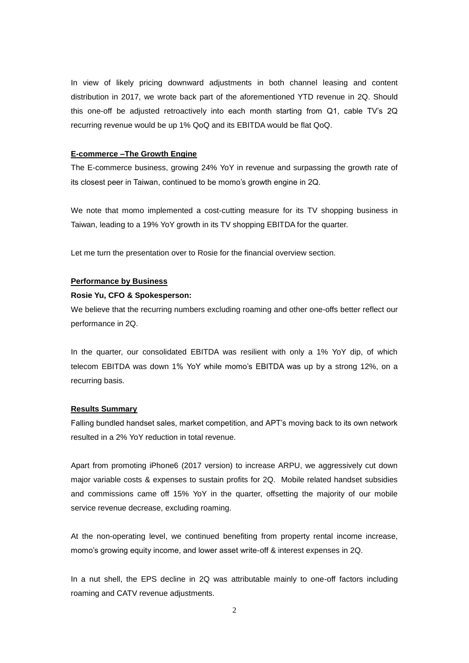In view of likely pricing downward adjustments in both channel leasing and content distribution in 2017, we wrote back part of the aforementioned YTD revenue in 2Q. Should this one-off be adjusted retroactively into each month starting from Q1, cable TV's 2Q recurring revenue would be up 1% QoQ and its EBITDA would be flat QoQ.

## **E-commerce –The Growth Engine**

The E-commerce business, growing 24% YoY in revenue and surpassing the growth rate of its closest peer in Taiwan, continued to be momo's growth engine in 2Q.

We note that momo implemented a cost-cutting measure for its TV shopping business in Taiwan, leading to a 19% YoY growth in its TV shopping EBITDA for the quarter.

Let me turn the presentation over to Rosie for the financial overview section.

# **Performance by Business**

#### **Rosie Yu, CFO & Spokesperson:**

We believe that the recurring numbers excluding roaming and other one-offs better reflect our performance in 2Q.

In the quarter, our consolidated EBITDA was resilient with only a 1% YoY dip, of which telecom EBITDA was down 1% YoY while momo's EBITDA was up by a strong 12%, on a recurring basis.

### **Results Summary**

Falling bundled handset sales, market competition, and APT's moving back to its own network resulted in a 2% YoY reduction in total revenue.

Apart from promoting iPhone6 (2017 version) to increase ARPU, we aggressively cut down major variable costs & expenses to sustain profits for 2Q. Mobile related handset subsidies and commissions came off 15% YoY in the quarter, offsetting the majority of our mobile service revenue decrease, excluding roaming.

At the non-operating level, we continued benefiting from property rental income increase, momo's growing equity income, and lower asset write-off & interest expenses in 2Q.

In a nut shell, the EPS decline in 2Q was attributable mainly to one-off factors including roaming and CATV revenue adjustments.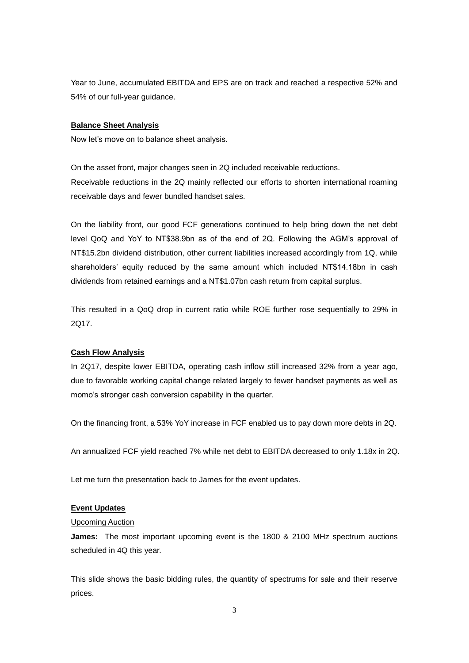Year to June, accumulated EBITDA and EPS are on track and reached a respective 52% and 54% of our full-year guidance.

# **Balance Sheet Analysis**

Now let's move on to balance sheet analysis.

On the asset front, major changes seen in 2Q included receivable reductions. Receivable reductions in the 2Q mainly reflected our efforts to shorten international roaming receivable days and fewer bundled handset sales.

On the liability front, our good FCF generations continued to help bring down the net debt level QoQ and YoY to NT\$38.9bn as of the end of 2Q. Following the AGM's approval of NT\$15.2bn dividend distribution, other current liabilities increased accordingly from 1Q, while shareholders' equity reduced by the same amount which included NT\$14.18bn in cash dividends from retained earnings and a NT\$1.07bn cash return from capital surplus.

This resulted in a QoQ drop in current ratio while ROE further rose sequentially to 29% in 2Q17.

# **Cash Flow Analysis**

In 2Q17, despite lower EBITDA, operating cash inflow still increased 32% from a year ago, due to favorable working capital change related largely to fewer handset payments as well as momo's stronger cash conversion capability in the quarter.

On the financing front, a 53% YoY increase in FCF enabled us to pay down more debts in 2Q.

An annualized FCF yield reached 7% while net debt to EBITDA decreased to only 1.18x in 2Q.

Let me turn the presentation back to James for the event updates.

#### **Event Updates**

# Upcoming Auction

**James:** The most important upcoming event is the 1800 & 2100 MHz spectrum auctions scheduled in 4Q this year.

This slide shows the basic bidding rules, the quantity of spectrums for sale and their reserve prices.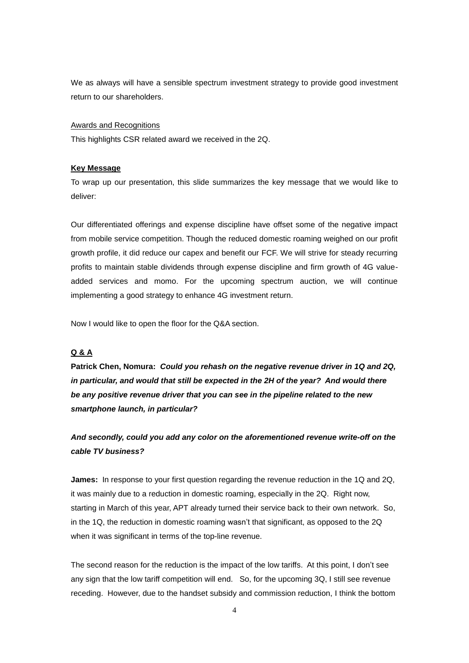We as always will have a sensible spectrum investment strategy to provide good investment return to our shareholders.

## Awards and Recognitions

This highlights CSR related award we received in the 2Q.

# **Key Message**

To wrap up our presentation, this slide summarizes the key message that we would like to deliver:

Our differentiated offerings and expense discipline have offset some of the negative impact from mobile service competition. Though the reduced domestic roaming weighed on our profit growth profile, it did reduce our capex and benefit our FCF. We will strive for steady recurring profits to maintain stable dividends through expense discipline and firm growth of 4G valueadded services and momo. For the upcoming spectrum auction, we will continue implementing a good strategy to enhance 4G investment return.

Now I would like to open the floor for the Q&A section.

# **Q & A**

**Patrick Chen, Nomura:** *Could you rehash on the negative revenue driver in 1Q and 2Q, in particular, and would that still be expected in the 2H of the year? And would there be any positive revenue driver that you can see in the pipeline related to the new smartphone launch, in particular?*

*And secondly, could you add any color on the aforementioned revenue write-off on the cable TV business?*

**James:** In response to your first question regarding the revenue reduction in the 1Q and 2Q. it was mainly due to a reduction in domestic roaming, especially in the 2Q. Right now, starting in March of this year, APT already turned their service back to their own network. So, in the 1Q, the reduction in domestic roaming wasn't that significant, as opposed to the 2Q when it was significant in terms of the top-line revenue.

The second reason for the reduction is the impact of the low tariffs. At this point, I don't see any sign that the low tariff competition will end. So, for the upcoming 3Q, I still see revenue receding. However, due to the handset subsidy and commission reduction, I think the bottom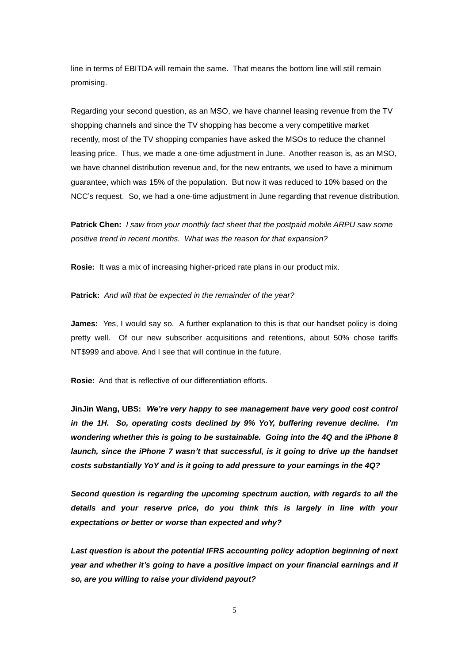line in terms of EBITDA will remain the same. That means the bottom line will still remain promising.

Regarding your second question, as an MSO, we have channel leasing revenue from the TV shopping channels and since the TV shopping has become a very competitive market recently, most of the TV shopping companies have asked the MSOs to reduce the channel leasing price. Thus, we made a one-time adjustment in June. Another reason is, as an MSO, we have channel distribution revenue and, for the new entrants, we used to have a minimum guarantee, which was 15% of the population. But now it was reduced to 10% based on the NCC's request. So, we had a one-time adjustment in June regarding that revenue distribution.

**Patrick Chen:** *I saw from your monthly fact sheet that the postpaid mobile ARPU saw some positive trend in recent months. What was the reason for that expansion?*

**Rosie:** It was a mix of increasing higher-priced rate plans in our product mix.

**Patrick:** *And will that be expected in the remainder of the year?*

**James:** Yes, I would say so. A further explanation to this is that our handset policy is doing pretty well. Of our new subscriber acquisitions and retentions, about 50% chose tariffs NT\$999 and above. And I see that will continue in the future.

**Rosie:** And that is reflective of our differentiation efforts.

**JinJin Wang, UBS:** *We're very happy to see management have very good cost control in the 1H. So, operating costs declined by 9% YoY, buffering revenue decline. I'm wondering whether this is going to be sustainable. Going into the 4Q and the iPhone 8 launch, since the iPhone 7 wasn't that successful, is it going to drive up the handset costs substantially YoY and is it going to add pressure to your earnings in the 4Q?*

*Second question is regarding the upcoming spectrum auction, with regards to all the details and your reserve price, do you think this is largely in line with your expectations or better or worse than expected and why?*

*Last question is about the potential IFRS accounting policy adoption beginning of next year and whether it's going to have a positive impact on your financial earnings and if so, are you willing to raise your dividend payout?*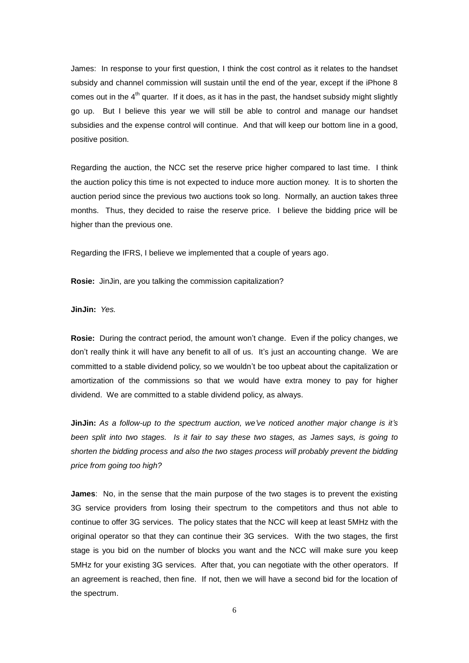James: In response to your first question, I think the cost control as it relates to the handset subsidy and channel commission will sustain until the end of the year, except if the iPhone 8 comes out in the  $4<sup>th</sup>$  quarter. If it does, as it has in the past, the handset subsidy might slightly go up. But I believe this year we will still be able to control and manage our handset subsidies and the expense control will continue. And that will keep our bottom line in a good, positive position.

Regarding the auction, the NCC set the reserve price higher compared to last time. I think the auction policy this time is not expected to induce more auction money. It is to shorten the auction period since the previous two auctions took so long. Normally, an auction takes three months. Thus, they decided to raise the reserve price. I believe the bidding price will be higher than the previous one.

Regarding the IFRS, I believe we implemented that a couple of years ago.

**Rosie:** JinJin, are you talking the commission capitalization?

**JinJin:** *Yes.*

**Rosie:** During the contract period, the amount won't change. Even if the policy changes, we don't really think it will have any benefit to all of us. It's just an accounting change. We are committed to a stable dividend policy, so we wouldn't be too upbeat about the capitalization or amortization of the commissions so that we would have extra money to pay for higher dividend. We are committed to a stable dividend policy, as always.

**JinJin:** *As a follow-up to the spectrum auction, we've noticed another major change is it's been split into two stages. Is it fair to say these two stages, as James says, is going to shorten the bidding process and also the two stages process will probably prevent the bidding price from going too high?*

**James**: No, in the sense that the main purpose of the two stages is to prevent the existing 3G service providers from losing their spectrum to the competitors and thus not able to continue to offer 3G services. The policy states that the NCC will keep at least 5MHz with the original operator so that they can continue their 3G services. With the two stages, the first stage is you bid on the number of blocks you want and the NCC will make sure you keep 5MHz for your existing 3G services. After that, you can negotiate with the other operators. If an agreement is reached, then fine. If not, then we will have a second bid for the location of the spectrum.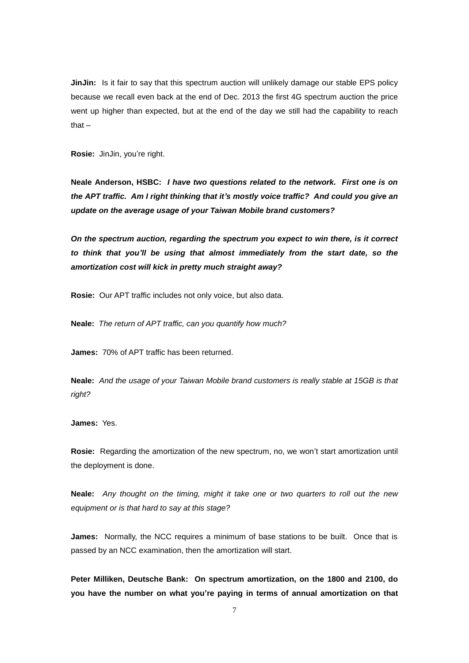**JinJin:** Is it fair to say that this spectrum auction will unlikely damage our stable EPS policy because we recall even back at the end of Dec. 2013 the first 4G spectrum auction the price went up higher than expected, but at the end of the day we still had the capability to reach that –

**Rosie:** JinJin, you're right.

**Neale Anderson, HSBC:** *I have two questions related to the network. First one is on the APT traffic. Am I right thinking that it's mostly voice traffic? And could you give an update on the average usage of your Taiwan Mobile brand customers?*

*On the spectrum auction, regarding the spectrum you expect to win there, is it correct to think that you'll be using that almost immediately from the start date, so the amortization cost will kick in pretty much straight away?*

**Rosie:** Our APT traffic includes not only voice, but also data.

**Neale:** *The return of APT traffic, can you quantify how much?*

**James:** 70% of APT traffic has been returned.

**Neale:** *And the usage of your Taiwan Mobile brand customers is really stable at 15GB is that right?*

**James:** Yes.

**Rosie:** Regarding the amortization of the new spectrum, no, we won't start amortization until the deployment is done.

**Neale:** *Any thought on the timing, might it take one or two quarters to roll out the new equipment or is that hard to say at this stage?*

**James:** Normally, the NCC requires a minimum of base stations to be built. Once that is passed by an NCC examination, then the amortization will start.

**Peter Milliken, Deutsche Bank: On spectrum amortization, on the 1800 and 2100, do you have the number on what you're paying in terms of annual amortization on that**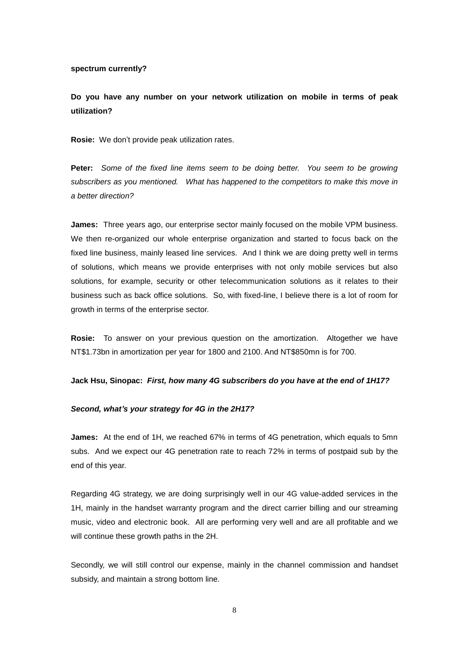## **spectrum currently?**

**Do you have any number on your network utilization on mobile in terms of peak utilization?** 

**Rosie:** We don't provide peak utilization rates.

**Peter:** *Some of the fixed line items seem to be doing better. You seem to be growing subscribers as you mentioned. What has happened to the competitors to make this move in a better direction?* 

**James:** Three years ago, our enterprise sector mainly focused on the mobile VPM business. We then re-organized our whole enterprise organization and started to focus back on the fixed line business, mainly leased line services. And I think we are doing pretty well in terms of solutions, which means we provide enterprises with not only mobile services but also solutions, for example, security or other telecommunication solutions as it relates to their business such as back office solutions. So, with fixed-line, I believe there is a lot of room for growth in terms of the enterprise sector.

**Rosie:** To answer on your previous question on the amortization. Altogether we have NT\$1.73bn in amortization per year for 1800 and 2100. And NT\$850mn is for 700.

#### **Jack Hsu, Sinopac:** *First, how many 4G subscribers do you have at the end of 1H17?*

### *Second, what's your strategy for 4G in the 2H17?*

**James:** At the end of 1H, we reached 67% in terms of 4G penetration, which equals to 5mn subs. And we expect our 4G penetration rate to reach 72% in terms of postpaid sub by the end of this year.

Regarding 4G strategy, we are doing surprisingly well in our 4G value-added services in the 1H, mainly in the handset warranty program and the direct carrier billing and our streaming music, video and electronic book. All are performing very well and are all profitable and we will continue these growth paths in the 2H.

Secondly, we will still control our expense, mainly in the channel commission and handset subsidy, and maintain a strong bottom line.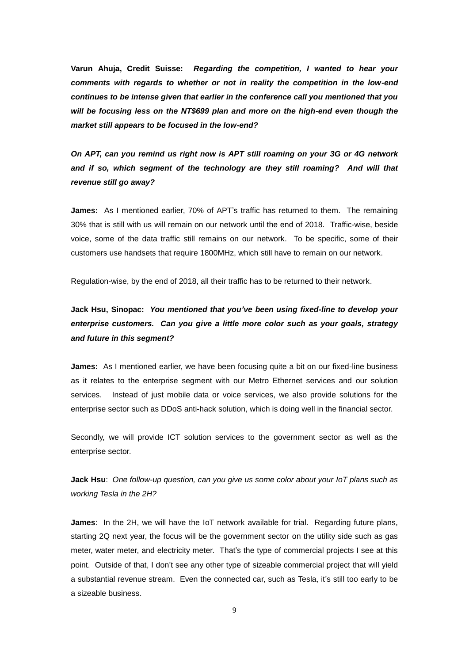**Varun Ahuja, Credit Suisse:** *Regarding the competition, I wanted to hear your comments with regards to whether or not in reality the competition in the low-end continues to be intense given that earlier in the conference call you mentioned that you will be focusing less on the NT\$699 plan and more on the high-end even though the market still appears to be focused in the low-end?*

*On APT, can you remind us right now is APT still roaming on your 3G or 4G network and if so, which segment of the technology are they still roaming? And will that revenue still go away?*

**James:** As I mentioned earlier, 70% of APT's traffic has returned to them. The remaining 30% that is still with us will remain on our network until the end of 2018. Traffic-wise, beside voice, some of the data traffic still remains on our network. To be specific, some of their customers use handsets that require 1800MHz, which still have to remain on our network.

Regulation-wise, by the end of 2018, all their traffic has to be returned to their network.

# **Jack Hsu, Sinopac:** *You mentioned that you've been using fixed-line to develop your enterprise customers. Can you give a little more color such as your goals, strategy and future in this segment?*

**James:** As I mentioned earlier, we have been focusing quite a bit on our fixed-line business as it relates to the enterprise segment with our Metro Ethernet services and our solution services. Instead of just mobile data or voice services, we also provide solutions for the enterprise sector such as DDoS anti-hack solution, which is doing well in the financial sector.

Secondly, we will provide ICT solution services to the government sector as well as the enterprise sector.

**Jack Hsu**: *One follow-up question, can you give us some color about your IoT plans such as working Tesla in the 2H?*

**James**: In the 2H, we will have the IoT network available for trial. Regarding future plans, starting 2Q next year, the focus will be the government sector on the utility side such as gas meter, water meter, and electricity meter. That's the type of commercial projects I see at this point. Outside of that, I don't see any other type of sizeable commercial project that will yield a substantial revenue stream. Even the connected car, such as Tesla, it's still too early to be a sizeable business.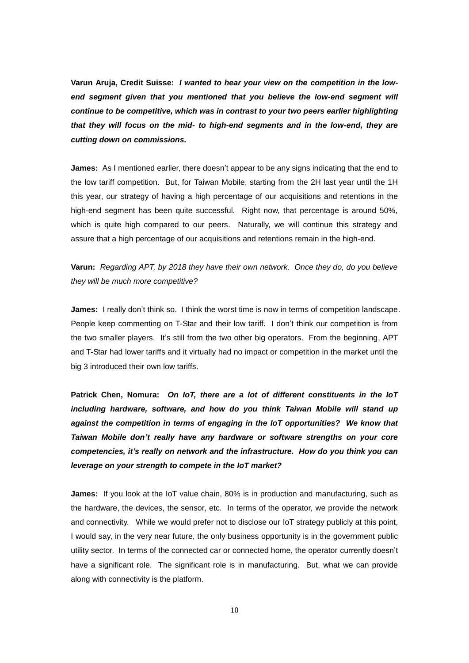**Varun Aruja, Credit Suisse:** *I wanted to hear your view on the competition in the lowend segment given that you mentioned that you believe the low-end segment will continue to be competitive, which was in contrast to your two peers earlier highlighting that they will focus on the mid- to high-end segments and in the low-end, they are cutting down on commissions.*

**James:** As I mentioned earlier, there doesn't appear to be any signs indicating that the end to the low tariff competition. But, for Taiwan Mobile, starting from the 2H last year until the 1H this year, our strategy of having a high percentage of our acquisitions and retentions in the high-end segment has been quite successful. Right now, that percentage is around 50%, which is quite high compared to our peers. Naturally, we will continue this strategy and assure that a high percentage of our acquisitions and retentions remain in the high-end.

**Varun:** *Regarding APT, by 2018 they have their own network. Once they do, do you believe they will be much more competitive?* 

**James:** I really don't think so. I think the worst time is now in terms of competition landscape. People keep commenting on T-Star and their low tariff. I don't think our competition is from the two smaller players. It's still from the two other big operators. From the beginning, APT and T-Star had lower tariffs and it virtually had no impact or competition in the market until the big 3 introduced their own low tariffs.

**Patrick Chen, Nomura:** *On IoT, there are a lot of different constituents in the IoT including hardware, software, and how do you think Taiwan Mobile will stand up against the competition in terms of engaging in the IoT opportunities? We know that Taiwan Mobile don't really have any hardware or software strengths on your core competencies, it's really on network and the infrastructure. How do you think you can leverage on your strength to compete in the IoT market?*

**James:** If you look at the IoT value chain, 80% is in production and manufacturing, such as the hardware, the devices, the sensor, etc. In terms of the operator, we provide the network and connectivity. While we would prefer not to disclose our IoT strategy publicly at this point, I would say, in the very near future, the only business opportunity is in the government public utility sector. In terms of the connected car or connected home, the operator currently doesn't have a significant role. The significant role is in manufacturing. But, what we can provide along with connectivity is the platform.